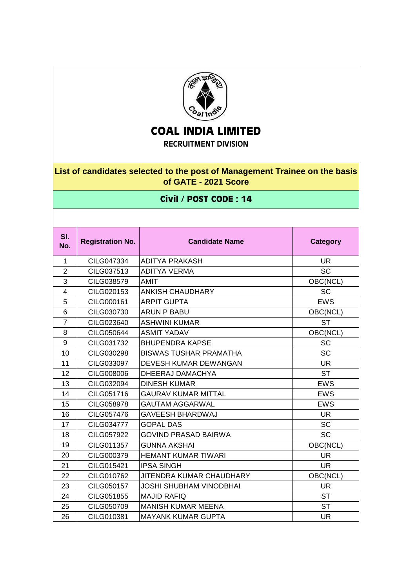

## **COAL INDIA LIMITED**

**RECRUITMENT DIVISION**

## **List of candidates selected to the post of Management Trainee on the basis of GATE - 2021 Score**

## **Civil / POST CODE : 14**

| SI.<br>No.     | <b>Registration No.</b> | <b>Candidate Name</b>          | <b>Category</b> |
|----------------|-------------------------|--------------------------------|-----------------|
| $\mathbf{1}$   | CILG047334              | <b>ADITYA PRAKASH</b>          | <b>UR</b>       |
| $\overline{2}$ | CILG037513              | <b>ADITYA VERMA</b>            | <b>SC</b>       |
| 3              | CILG038579              | <b>AMIT</b>                    | OBC(NCL)        |
| $\overline{4}$ | CILG020153              | <b>ANKISH CHAUDHARY</b>        | <b>SC</b>       |
| 5              | CILG000161              | <b>ARPIT GUPTA</b>             | <b>EWS</b>      |
| 6              | CILG030730              | <b>ARUN P BABU</b>             | OBC(NCL)        |
| $\overline{7}$ | CILG023640              | <b>ASHWINI KUMAR</b>           | <b>ST</b>       |
| 8              | CILG050644              | <b>ASMIT YADAV</b>             | OBC(NCL)        |
| 9              | CILG031732              | <b>BHUPENDRA KAPSE</b>         | <b>SC</b>       |
| 10             | CILG030298              | <b>BISWAS TUSHAR PRAMATHA</b>  | <b>SC</b>       |
| 11             | CILG033097              | DEVESH KUMAR DEWANGAN          | <b>UR</b>       |
| 12             | CILG008006              | DHEERAJ DAMACHYA               | <b>ST</b>       |
| 13             | CILG032094              | <b>DINESH KUMAR</b>            | <b>EWS</b>      |
| 14             | CILG051716              | <b>GAURAV KUMAR MITTAL</b>     | <b>EWS</b>      |
| 15             | CILG058978              | <b>GAUTAM AGGARWAL</b>         | <b>EWS</b>      |
| 16             | CILG057476              | <b>GAVEESH BHARDWAJ</b>        | <b>UR</b>       |
| 17             | CILG034777              | <b>GOPAL DAS</b>               | <b>SC</b>       |
| 18             | CILG057922              | <b>GOVIND PRASAD BAIRWA</b>    | <b>SC</b>       |
| 19             | CILG011357              | <b>GUNNA AKSHAI</b>            | OBC(NCL)        |
| 20             | CILG000379              | <b>HEMANT KUMAR TIWARI</b>     | UR.             |
| 21             | CILG015421              | <b>IPSA SINGH</b>              | <b>UR</b>       |
| 22             | CILG010762              | JITENDRA KUMAR CHAUDHARY       | OBC(NCL)        |
| 23             | CILG050157              | <b>JOSHI SHUBHAM VINODBHAI</b> | <b>UR</b>       |
| 24             | CILG051855              | <b>MAJID RAFIQ</b>             | <b>ST</b>       |
| 25             | CILG050709              | <b>MANISH KUMAR MEENA</b>      | <b>ST</b>       |
| 26             | CILG010381              | <b>MAYANK KUMAR GUPTA</b>      | <b>UR</b>       |